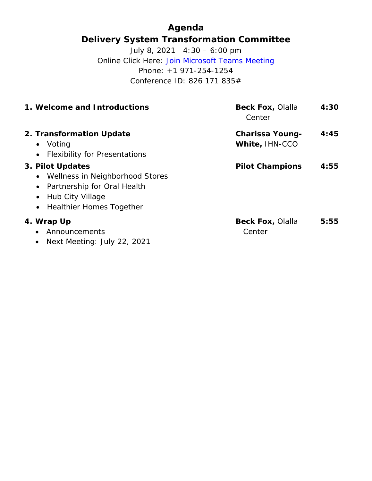# **Agenda Delivery System Transformation Committee**

July 8, 2021 4:30 – 6:00 pm Online Click Here: [Join Microsoft Teams Meeting](https://teams.microsoft.com/l/meetup-join/19%3ameeting_MzljOTZiYjgtYmI4MC00YThhLThkYzQtMGQxMjM3ZWE4NDU3%40thread.v2/0?context=%7b%22Tid%22%3a%228ffc5ea6-dcec-4754-95d8-337958ecb2fc%22%2c%22Oid%22%3a%22a561cadd-8219-424a-92f8-7ba2a46ab139%22%7d) Phone: +1 971-254-1254 Conference ID: 826 171 835#

| 1. Welcome and Introductions                                                                                                               | <b>Beck Fox, Olalla</b><br>Center        | 4:30 |
|--------------------------------------------------------------------------------------------------------------------------------------------|------------------------------------------|------|
| 2. Transformation Update<br>• Voting<br>• Flexibility for Presentations                                                                    | <b>Charissa Young-</b><br>White, IHN-CCO | 4:45 |
| 3. Pilot Updates<br>• Wellness in Neighborhood Stores<br>• Partnership for Oral Health<br>• Hub City Village<br>• Healthier Homes Together | <b>Pilot Champions</b>                   | 4:55 |
| 4. Wrap Up<br>Announcements<br>Next Meeting: July 22, 2021                                                                                 | <b>Beck Fox, Olalla</b><br>Center        | 5:55 |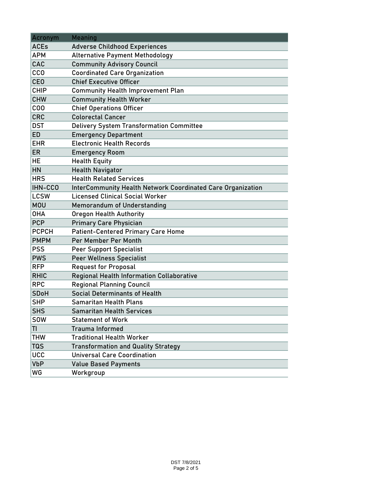| Acronym      | Meaning                                                            |
|--------------|--------------------------------------------------------------------|
| <b>ACEs</b>  | <b>Adverse Childhood Experiences</b>                               |
| <b>APM</b>   | <b>Alternative Payment Methodology</b>                             |
| CAC          | <b>Community Advisory Council</b>                                  |
| <b>CCO</b>   | <b>Coordinated Care Organization</b>                               |
| <b>CEO</b>   | <b>Chief Executive Officer</b>                                     |
| <b>CHIP</b>  | <b>Community Health Improvement Plan</b>                           |
| <b>CHW</b>   | <b>Community Health Worker</b>                                     |
| COO          | <b>Chief Operations Officer</b>                                    |
| <b>CRC</b>   | <b>Colorectal Cancer</b>                                           |
| <b>DST</b>   | <b>Delivery System Transformation Committee</b>                    |
| <b>ED</b>    | <b>Emergency Department</b>                                        |
| <b>EHR</b>   | <b>Electronic Health Records</b>                                   |
| <b>ER</b>    | <b>Emergency Room</b>                                              |
| <b>HE</b>    | <b>Health Equity</b>                                               |
| HN           | <b>Health Navigator</b>                                            |
| <b>HRS</b>   | <b>Health Related Services</b>                                     |
| IHN-CCO      | <b>InterCommunity Health Network Coordinated Care Organization</b> |
| <b>LCSW</b>  | <b>Licensed Clinical Social Worker</b>                             |
| <b>MOU</b>   | <b>Memorandum of Understanding</b>                                 |
| <b>OHA</b>   | <b>Oregon Health Authority</b>                                     |
| <b>PCP</b>   | <b>Primary Care Physician</b>                                      |
| <b>PCPCH</b> | <b>Patient-Centered Primary Care Home</b>                          |
| <b>PMPM</b>  | Per Member Per Month                                               |
| <b>PSS</b>   | <b>Peer Support Specialist</b>                                     |
| <b>PWS</b>   | <b>Peer Wellness Specialist</b>                                    |
| <b>RFP</b>   | <b>Request for Proposal</b>                                        |
| <b>RHIC</b>  | <b>Regional Health Information Collaborative</b>                   |
| <b>RPC</b>   | <b>Regional Planning Council</b>                                   |
| <b>SDoH</b>  | Social Determinants of Health                                      |
| <b>SHP</b>   | <b>Samaritan Health Plans</b>                                      |
| <b>SHS</b>   | <b>Samaritan Health Services</b>                                   |
| <b>SOW</b>   | <b>Statement of Work</b>                                           |
| TI           | <b>Trauma Informed</b>                                             |
| <b>THW</b>   | <b>Traditional Health Worker</b>                                   |
| <b>TQS</b>   | <b>Transformation and Quality Strategy</b>                         |
| <b>UCC</b>   | <b>Universal Care Coordination</b>                                 |
| <b>VbP</b>   | <b>Value Based Payments</b>                                        |
| WG           | Workgroup                                                          |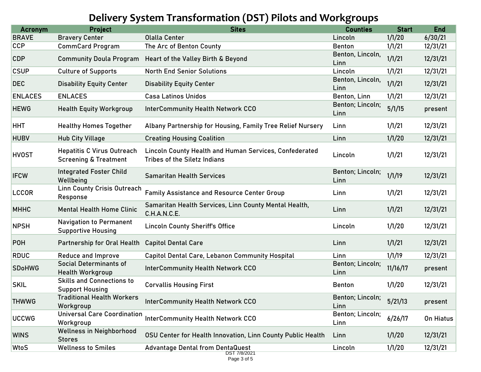# **Delivery System Transformation (DST) Pilots and Workgroups**

| 1/1/20<br>6/30/21<br><b>Bravery Center</b><br><b>Olalla Center</b><br>Lincoln<br>1/1/21<br>12/31/21<br><b>CommCard Program</b><br>The Arc of Benton County<br><b>Benton</b><br>Benton, Lincoln,<br>1/1/21<br>12/31/21<br><b>Community Doula Program</b><br>Heart of the Valley Birth & Beyond<br>Linn<br>1/1/21<br>12/31/21<br><b>Culture of Supports</b><br><b>North End Senior Solutions</b><br>Lincoln<br>Benton, Lincoln,<br>1/1/21<br>12/31/21<br><b>Disability Equity Center</b><br><b>Disability Equity Center</b><br>Linn<br>1/1/21<br>12/31/21<br><b>ENLACES</b><br><b>Casa Latinos Unidos</b><br>Benton, Linn<br>Benton; Lincoln;<br>5/1/15<br><b>InterCommunity Health Network CCO</b><br><b>Health Equity Workgroup</b><br>present<br>Linn<br>1/1/21<br>12/31/21<br><b>Healthy Homes Together</b><br>Albany Partnership for Housing, Family Tree Relief Nursery<br>Linn<br>1/1/20<br>12/31/21<br><b>Hub City Village</b><br><b>Creating Housing Coalition</b><br>Linn<br>Lincoln County Health and Human Services, Confederated<br><b>Hepatitis C Virus Outreach</b><br>1/1/21<br>12/31/21<br>Lincoln<br><b>Screening &amp; Treatment</b><br><b>Tribes of the Siletz Indians</b><br><b>Integrated Foster Child</b><br>Benton; Lincoln;<br>1/1/19<br>12/31/21<br><b>Samaritan Health Services</b><br>Wellbeing<br>Linn<br><b>Linn County Crisis Outreach</b><br>1/1/21<br>12/31/21<br><b>Family Assistance and Resource Center Group</b><br>Linn<br>Response<br>Samaritan Health Services, Linn County Mental Health,<br>1/1/21<br>12/31/21<br><b>Mental Health Home Clinic</b><br>Linn<br>C.H.A.N.C.E.<br><b>Navigation to Permanent</b><br>1/1/20<br>12/31/21<br><b>Lincoln County Sheriff's Office</b><br>Lincoln<br><b>Supportive Housing</b><br>1/1/21<br>12/31/21<br>Linn<br>Partnership for Oral Health<br><b>Capitol Dental Care</b><br>1/1/19<br>12/31/21<br><b>Capitol Dental Care, Lebanon Community Hospital</b><br><b>Reduce and Improve</b><br>Linn<br><b>Social Determinants of</b><br>Benton; Lincoln;<br>11/16/17<br><b>InterCommunity Health Network CCO</b><br>present<br><b>Health Workgroup</b><br>Linn<br><b>Skills and Connections to</b><br>1/1/20<br>12/31/21<br><b>Corvallis Housing First</b><br><b>Benton</b><br><b>Support Housing</b><br><b>Traditional Health Workers</b><br>Benton; Lincoln;<br>5/21/13<br><b>InterCommunity Health Network CCO</b><br>present<br>Workgroup<br>Linn<br><b>Universal Care Coordination</b><br>Benton; Lincoln;<br><b>InterCommunity Health Network CCO</b><br>6/26/17<br>On Hiatus<br>Workgroup<br>Linn<br><b>Wellness in Neighborhood</b><br>1/1/20<br>12/31/21<br>OSU Center for Health Innovation, Linn County Public Health<br>Linn<br><b>Stores</b><br>1/1/20<br><b>Wellness to Smiles</b><br>12/31/21<br><b>Advantage Dental from DentaQuest</b><br>Lincoln<br>DST 7/8/2021 | <b>Acronym</b> | <b>Project</b> | <b>Sites</b> | <b>Counties</b> | <b>Start</b> | <b>End</b> |
|-------------------------------------------------------------------------------------------------------------------------------------------------------------------------------------------------------------------------------------------------------------------------------------------------------------------------------------------------------------------------------------------------------------------------------------------------------------------------------------------------------------------------------------------------------------------------------------------------------------------------------------------------------------------------------------------------------------------------------------------------------------------------------------------------------------------------------------------------------------------------------------------------------------------------------------------------------------------------------------------------------------------------------------------------------------------------------------------------------------------------------------------------------------------------------------------------------------------------------------------------------------------------------------------------------------------------------------------------------------------------------------------------------------------------------------------------------------------------------------------------------------------------------------------------------------------------------------------------------------------------------------------------------------------------------------------------------------------------------------------------------------------------------------------------------------------------------------------------------------------------------------------------------------------------------------------------------------------------------------------------------------------------------------------------------------------------------------------------------------------------------------------------------------------------------------------------------------------------------------------------------------------------------------------------------------------------------------------------------------------------------------------------------------------------------------------------------------------------------------------------------------------------------------------------------------------------------------------------------------------------------------------------------------------------------------------------------------------------------------------------------------------------------------------------------------------------------------------------------------|----------------|----------------|--------------|-----------------|--------------|------------|
|                                                                                                                                                                                                                                                                                                                                                                                                                                                                                                                                                                                                                                                                                                                                                                                                                                                                                                                                                                                                                                                                                                                                                                                                                                                                                                                                                                                                                                                                                                                                                                                                                                                                                                                                                                                                                                                                                                                                                                                                                                                                                                                                                                                                                                                                                                                                                                                                                                                                                                                                                                                                                                                                                                                                                                                                                                                             | <b>BRAVE</b>   |                |              |                 |              |            |
|                                                                                                                                                                                                                                                                                                                                                                                                                                                                                                                                                                                                                                                                                                                                                                                                                                                                                                                                                                                                                                                                                                                                                                                                                                                                                                                                                                                                                                                                                                                                                                                                                                                                                                                                                                                                                                                                                                                                                                                                                                                                                                                                                                                                                                                                                                                                                                                                                                                                                                                                                                                                                                                                                                                                                                                                                                                             | <b>CCP</b>     |                |              |                 |              |            |
|                                                                                                                                                                                                                                                                                                                                                                                                                                                                                                                                                                                                                                                                                                                                                                                                                                                                                                                                                                                                                                                                                                                                                                                                                                                                                                                                                                                                                                                                                                                                                                                                                                                                                                                                                                                                                                                                                                                                                                                                                                                                                                                                                                                                                                                                                                                                                                                                                                                                                                                                                                                                                                                                                                                                                                                                                                                             | <b>CDP</b>     |                |              |                 |              |            |
|                                                                                                                                                                                                                                                                                                                                                                                                                                                                                                                                                                                                                                                                                                                                                                                                                                                                                                                                                                                                                                                                                                                                                                                                                                                                                                                                                                                                                                                                                                                                                                                                                                                                                                                                                                                                                                                                                                                                                                                                                                                                                                                                                                                                                                                                                                                                                                                                                                                                                                                                                                                                                                                                                                                                                                                                                                                             | <b>CSUP</b>    |                |              |                 |              |            |
|                                                                                                                                                                                                                                                                                                                                                                                                                                                                                                                                                                                                                                                                                                                                                                                                                                                                                                                                                                                                                                                                                                                                                                                                                                                                                                                                                                                                                                                                                                                                                                                                                                                                                                                                                                                                                                                                                                                                                                                                                                                                                                                                                                                                                                                                                                                                                                                                                                                                                                                                                                                                                                                                                                                                                                                                                                                             | <b>DEC</b>     |                |              |                 |              |            |
|                                                                                                                                                                                                                                                                                                                                                                                                                                                                                                                                                                                                                                                                                                                                                                                                                                                                                                                                                                                                                                                                                                                                                                                                                                                                                                                                                                                                                                                                                                                                                                                                                                                                                                                                                                                                                                                                                                                                                                                                                                                                                                                                                                                                                                                                                                                                                                                                                                                                                                                                                                                                                                                                                                                                                                                                                                                             | <b>ENLACES</b> |                |              |                 |              |            |
|                                                                                                                                                                                                                                                                                                                                                                                                                                                                                                                                                                                                                                                                                                                                                                                                                                                                                                                                                                                                                                                                                                                                                                                                                                                                                                                                                                                                                                                                                                                                                                                                                                                                                                                                                                                                                                                                                                                                                                                                                                                                                                                                                                                                                                                                                                                                                                                                                                                                                                                                                                                                                                                                                                                                                                                                                                                             | <b>HEWG</b>    |                |              |                 |              |            |
|                                                                                                                                                                                                                                                                                                                                                                                                                                                                                                                                                                                                                                                                                                                                                                                                                                                                                                                                                                                                                                                                                                                                                                                                                                                                                                                                                                                                                                                                                                                                                                                                                                                                                                                                                                                                                                                                                                                                                                                                                                                                                                                                                                                                                                                                                                                                                                                                                                                                                                                                                                                                                                                                                                                                                                                                                                                             | <b>HHT</b>     |                |              |                 |              |            |
|                                                                                                                                                                                                                                                                                                                                                                                                                                                                                                                                                                                                                                                                                                                                                                                                                                                                                                                                                                                                                                                                                                                                                                                                                                                                                                                                                                                                                                                                                                                                                                                                                                                                                                                                                                                                                                                                                                                                                                                                                                                                                                                                                                                                                                                                                                                                                                                                                                                                                                                                                                                                                                                                                                                                                                                                                                                             | <b>HUBV</b>    |                |              |                 |              |            |
|                                                                                                                                                                                                                                                                                                                                                                                                                                                                                                                                                                                                                                                                                                                                                                                                                                                                                                                                                                                                                                                                                                                                                                                                                                                                                                                                                                                                                                                                                                                                                                                                                                                                                                                                                                                                                                                                                                                                                                                                                                                                                                                                                                                                                                                                                                                                                                                                                                                                                                                                                                                                                                                                                                                                                                                                                                                             | <b>HVOST</b>   |                |              |                 |              |            |
|                                                                                                                                                                                                                                                                                                                                                                                                                                                                                                                                                                                                                                                                                                                                                                                                                                                                                                                                                                                                                                                                                                                                                                                                                                                                                                                                                                                                                                                                                                                                                                                                                                                                                                                                                                                                                                                                                                                                                                                                                                                                                                                                                                                                                                                                                                                                                                                                                                                                                                                                                                                                                                                                                                                                                                                                                                                             | <b>IFCW</b>    |                |              |                 |              |            |
|                                                                                                                                                                                                                                                                                                                                                                                                                                                                                                                                                                                                                                                                                                                                                                                                                                                                                                                                                                                                                                                                                                                                                                                                                                                                                                                                                                                                                                                                                                                                                                                                                                                                                                                                                                                                                                                                                                                                                                                                                                                                                                                                                                                                                                                                                                                                                                                                                                                                                                                                                                                                                                                                                                                                                                                                                                                             | <b>LCCOR</b>   |                |              |                 |              |            |
|                                                                                                                                                                                                                                                                                                                                                                                                                                                                                                                                                                                                                                                                                                                                                                                                                                                                                                                                                                                                                                                                                                                                                                                                                                                                                                                                                                                                                                                                                                                                                                                                                                                                                                                                                                                                                                                                                                                                                                                                                                                                                                                                                                                                                                                                                                                                                                                                                                                                                                                                                                                                                                                                                                                                                                                                                                                             | <b>MHHC</b>    |                |              |                 |              |            |
|                                                                                                                                                                                                                                                                                                                                                                                                                                                                                                                                                                                                                                                                                                                                                                                                                                                                                                                                                                                                                                                                                                                                                                                                                                                                                                                                                                                                                                                                                                                                                                                                                                                                                                                                                                                                                                                                                                                                                                                                                                                                                                                                                                                                                                                                                                                                                                                                                                                                                                                                                                                                                                                                                                                                                                                                                                                             | <b>NPSH</b>    |                |              |                 |              |            |
|                                                                                                                                                                                                                                                                                                                                                                                                                                                                                                                                                                                                                                                                                                                                                                                                                                                                                                                                                                                                                                                                                                                                                                                                                                                                                                                                                                                                                                                                                                                                                                                                                                                                                                                                                                                                                                                                                                                                                                                                                                                                                                                                                                                                                                                                                                                                                                                                                                                                                                                                                                                                                                                                                                                                                                                                                                                             | <b>POH</b>     |                |              |                 |              |            |
|                                                                                                                                                                                                                                                                                                                                                                                                                                                                                                                                                                                                                                                                                                                                                                                                                                                                                                                                                                                                                                                                                                                                                                                                                                                                                                                                                                                                                                                                                                                                                                                                                                                                                                                                                                                                                                                                                                                                                                                                                                                                                                                                                                                                                                                                                                                                                                                                                                                                                                                                                                                                                                                                                                                                                                                                                                                             | <b>RDUC</b>    |                |              |                 |              |            |
|                                                                                                                                                                                                                                                                                                                                                                                                                                                                                                                                                                                                                                                                                                                                                                                                                                                                                                                                                                                                                                                                                                                                                                                                                                                                                                                                                                                                                                                                                                                                                                                                                                                                                                                                                                                                                                                                                                                                                                                                                                                                                                                                                                                                                                                                                                                                                                                                                                                                                                                                                                                                                                                                                                                                                                                                                                                             | <b>SDoHWG</b>  |                |              |                 |              |            |
|                                                                                                                                                                                                                                                                                                                                                                                                                                                                                                                                                                                                                                                                                                                                                                                                                                                                                                                                                                                                                                                                                                                                                                                                                                                                                                                                                                                                                                                                                                                                                                                                                                                                                                                                                                                                                                                                                                                                                                                                                                                                                                                                                                                                                                                                                                                                                                                                                                                                                                                                                                                                                                                                                                                                                                                                                                                             | <b>SKIL</b>    |                |              |                 |              |            |
|                                                                                                                                                                                                                                                                                                                                                                                                                                                                                                                                                                                                                                                                                                                                                                                                                                                                                                                                                                                                                                                                                                                                                                                                                                                                                                                                                                                                                                                                                                                                                                                                                                                                                                                                                                                                                                                                                                                                                                                                                                                                                                                                                                                                                                                                                                                                                                                                                                                                                                                                                                                                                                                                                                                                                                                                                                                             | <b>THWWG</b>   |                |              |                 |              |            |
|                                                                                                                                                                                                                                                                                                                                                                                                                                                                                                                                                                                                                                                                                                                                                                                                                                                                                                                                                                                                                                                                                                                                                                                                                                                                                                                                                                                                                                                                                                                                                                                                                                                                                                                                                                                                                                                                                                                                                                                                                                                                                                                                                                                                                                                                                                                                                                                                                                                                                                                                                                                                                                                                                                                                                                                                                                                             | <b>UCCWG</b>   |                |              |                 |              |            |
|                                                                                                                                                                                                                                                                                                                                                                                                                                                                                                                                                                                                                                                                                                                                                                                                                                                                                                                                                                                                                                                                                                                                                                                                                                                                                                                                                                                                                                                                                                                                                                                                                                                                                                                                                                                                                                                                                                                                                                                                                                                                                                                                                                                                                                                                                                                                                                                                                                                                                                                                                                                                                                                                                                                                                                                                                                                             | <b>WINS</b>    |                |              |                 |              |            |
|                                                                                                                                                                                                                                                                                                                                                                                                                                                                                                                                                                                                                                                                                                                                                                                                                                                                                                                                                                                                                                                                                                                                                                                                                                                                                                                                                                                                                                                                                                                                                                                                                                                                                                                                                                                                                                                                                                                                                                                                                                                                                                                                                                                                                                                                                                                                                                                                                                                                                                                                                                                                                                                                                                                                                                                                                                                             | WtoS           |                |              |                 |              |            |

Page 3 of 5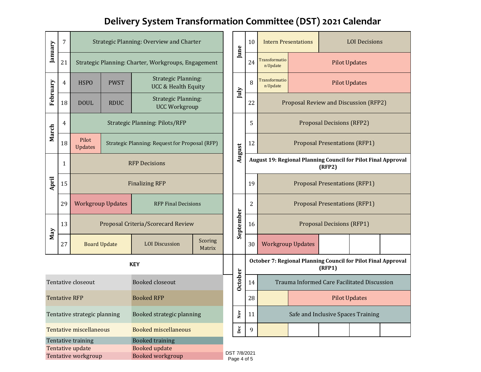# **Delivery System Transformation Committee (DST) 2021 Calendar**

| January                                                                                                                                                            | 7            | Strategic Planning: Overview and Charter               |                     |                                                              |                   |                                    | June           | 10                                                                      | <b>Intern Presentations</b>                                                    |  | <b>LOI</b> Decisions                 |  |  |
|--------------------------------------------------------------------------------------------------------------------------------------------------------------------|--------------|--------------------------------------------------------|---------------------|--------------------------------------------------------------|-------------------|------------------------------------|----------------|-------------------------------------------------------------------------|--------------------------------------------------------------------------------|--|--------------------------------------|--|--|
|                                                                                                                                                                    | 21           | Strategic Planning: Charter, Workgroups, Engagement    |                     |                                                              |                   |                                    | 24             | <b>Transformatio</b><br>n Update                                        | <b>Pilot Updates</b>                                                           |  |                                      |  |  |
| February                                                                                                                                                           | 4            | <b>HSPO</b>                                            | <b>PWST</b>         | <b>Strategic Planning:</b><br><b>UCC &amp; Health Equity</b> |                   |                                    | July           | 8                                                                       | Transformatio<br><b>Pilot Updates</b><br>n Update                              |  |                                      |  |  |
|                                                                                                                                                                    | 18           | <b>DOUL</b>                                            | <b>RDUC</b>         | <b>Strategic Planning:</b><br><b>UCC Workgroup</b>           |                   |                                    |                | 22                                                                      | Proposal Review and Discussion (RFP2)                                          |  |                                      |  |  |
| March                                                                                                                                                              | 4            | <b>Strategic Planning: Pilots/RFP</b>                  |                     |                                                              |                   |                                    |                | 5                                                                       | <b>Proposal Decisions (RFP2)</b>                                               |  |                                      |  |  |
|                                                                                                                                                                    | 18           | Pilot<br><b>Updates</b>                                |                     | Strategic Planning: Request for Proposal (RFP)               |                   |                                    | August         | 12                                                                      |                                                                                |  | <b>Proposal Presentations (RFP1)</b> |  |  |
|                                                                                                                                                                    | $\mathbf{1}$ | <b>RFP Decisions</b>                                   |                     |                                                              |                   |                                    |                |                                                                         | <b>August 19: Regional Planning Council for Pilot Final Approval</b><br>(RFP2) |  |                                      |  |  |
| April                                                                                                                                                              | 15           | <b>Finalizing RFP</b>                                  |                     |                                                              |                   |                                    | 19             | <b>Proposal Presentations (RFP1)</b>                                    |                                                                                |  |                                      |  |  |
|                                                                                                                                                                    | 29           | <b>Workgroup Updates</b><br><b>RFP Final Decisions</b> |                     |                                                              |                   |                                    | $\overline{2}$ | <b>Proposal Presentations (RFP1)</b>                                    |                                                                                |  |                                      |  |  |
| May                                                                                                                                                                | 13           | Proposal Criteria/Scorecard Review                     |                     |                                                              |                   | September                          | 16             | <b>Proposal Decisions (RFP1)</b>                                        |                                                                                |  |                                      |  |  |
|                                                                                                                                                                    | 27           |                                                        | <b>Board Update</b> | <b>LOI</b> Discussion                                        | Scoring<br>Matrix |                                    |                |                                                                         | <b>Workgroup Updates</b>                                                       |  |                                      |  |  |
| <b>KEY</b>                                                                                                                                                         |              |                                                        |                     |                                                              |                   |                                    |                | October 7: Regional Planning Council for Pilot Final Approval<br>(RFP1) |                                                                                |  |                                      |  |  |
| Tentative closeout<br><b>Booked closeout</b>                                                                                                                       |              |                                                        |                     |                                                              |                   | <b>October</b>                     | 14             | Trauma Informed Care Facilitated Discussion                             |                                                                                |  |                                      |  |  |
| <b>Tentative RFP</b><br><b>Booked RFP</b>                                                                                                                          |              |                                                        |                     |                                                              | 28                | <b>Pilot Updates</b>               |                |                                                                         |                                                                                |  |                                      |  |  |
| Booked strategic planning<br>Tentative strategic planning                                                                                                          |              |                                                        |                     | $_{\rm Nov}$                                                 | 11                | Safe and Inclusive Spaces Training |                |                                                                         |                                                                                |  |                                      |  |  |
|                                                                                                                                                                    |              | <b>Tentative miscellaneous</b>                         |                     | <b>Booked miscellaneous</b>                                  |                   |                                    | $_{\rm Dec}$   | 9                                                                       |                                                                                |  |                                      |  |  |
| <b>Booked training</b><br>Tentative training<br>Tentative update<br><b>Booked update</b><br>DST 7/8/2021<br>Tentative workgroup<br>Booked workgroup<br>Page 4 of 5 |              |                                                        |                     |                                                              |                   |                                    |                |                                                                         |                                                                                |  |                                      |  |  |